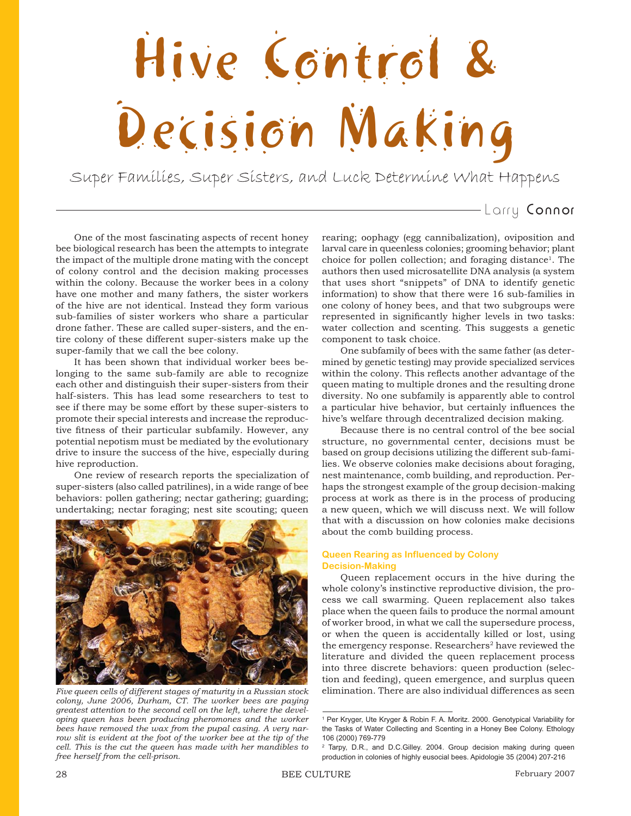# Hive Control & Decision Making

Super Families, Super Sisters, and Luck Determine What Happens

# Larry Connor

One of the most fascinating aspects of recent honey bee biological research has been the attempts to integrate the impact of the multiple drone mating with the concept of colony control and the decision making processes within the colony. Because the worker bees in a colony have one mother and many fathers, the sister workers of the hive are not identical. Instead they form various sub-families of sister workers who share a particular drone father. These are called super-sisters, and the entire colony of these different super-sisters make up the super-family that we call the bee colony.

It has been shown that individual worker bees belonging to the same sub-family are able to recognize each other and distinguish their super-sisters from their half-sisters. This has lead some researchers to test to see if there may be some effort by these super-sisters to promote their special interests and increase the reproductive fitness of their particular subfamily. However, any potential nepotism must be mediated by the evolutionary drive to insure the success of the hive, especially during hive reproduction.

One review of research reports the specialization of super-sisters (also called patrilines), in a wide range of bee behaviors: pollen gathering; nectar gathering; guarding; undertaking; nectar foraging; nest site scouting; queen



*colony, June 2006, Durham, CT. The worker bees are paying greatest attention to the second cell on the left, where the developing queen has been producing pheromones and the worker bees have removed the wax from the pupal casing. A very narrow slit is evident at the foot of the worker bee at the tip of the cell. This is the cut the queen has made with her mandibles to free herself from the cell-prison.*

rearing; oophagy (egg cannibalization), oviposition and larval care in queenless colonies; grooming behavior; plant choice for pollen collection; and foraging distance<sup>1</sup>. The authors then used microsatellite DNA analysis (a system that uses short "snippets" of DNA to identify genetic information) to show that there were 16 sub-families in one colony of honey bees, and that two subgroups were represented in significantly higher levels in two tasks: water collection and scenting. This suggests a genetic component to task choice.

One subfamily of bees with the same father (as determined by genetic testing) may provide specialized services within the colony. This reflects another advantage of the queen mating to multiple drones and the resulting drone diversity. No one subfamily is apparently able to control a particular hive behavior, but certainly influences the hive's welfare through decentralized decision making.

Because there is no central control of the bee social structure, no governmental center, decisions must be based on group decisions utilizing the different sub-families. We observe colonies make decisions about foraging, nest maintenance, comb building, and reproduction. Perhaps the strongest example of the group decision-making process at work as there is in the process of producing a new queen, which we will discuss next. We will follow that with a discussion on how colonies make decisions about the comb building process.

# **Queen Rearing as Influenced by Colony Decision-Making**

Queen replacement occurs in the hive during the whole colony's instinctive reproductive division, the process we call swarming. Queen replacement also takes place when the queen fails to produce the normal amount of worker brood, in what we call the supersedure process, or when the queen is accidentally killed or lost, using the emergency response. Researchers<sup>2</sup> have reviewed the literature and divided the queen replacement process into three discrete behaviors: queen production (selection and feeding), queen emergence, and surplus queen *Five queen cells of different stages of maturity in a Russian stock* elimination. There are also individual differences as seen

<sup>&</sup>lt;sup>1</sup> Per Kryger, Ute Kryger & Robin F. A. Moritz. 2000. Genotypical Variability for the Tasks of Water Collecting and Scenting in a Honey Bee Colony. Ethology 106 (2000) 769-779

<sup>&</sup>lt;sup>2</sup> Tarpy, D.R., and D.C.Gilley. 2004. Group decision making during queen production in colonies of highly eusocial bees. Apidologie 35 (2004) 207-216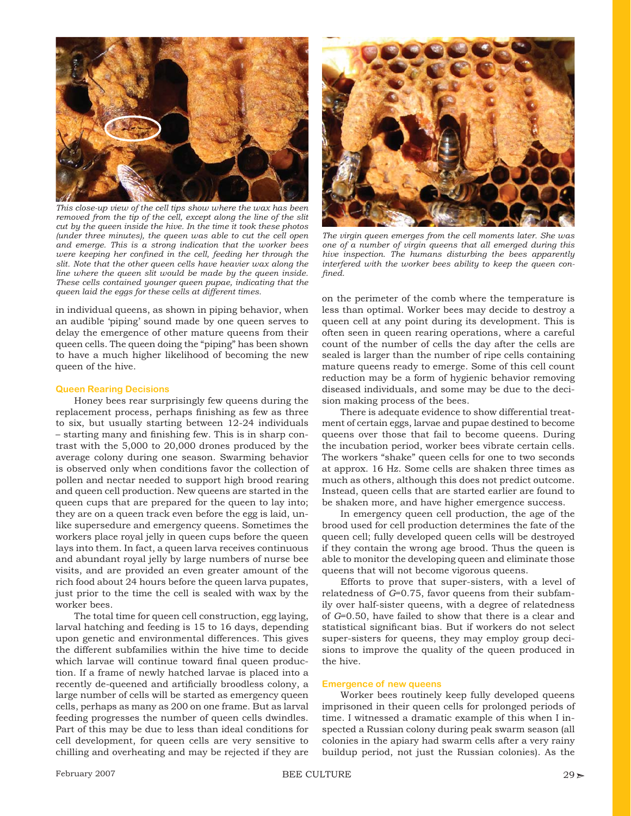

*This close-up view of the cell tips show where the wax has been removed from the tip of the cell, except along the line of the slit cut by the queen inside the hive. In the time it took these photos (under three minutes), the queen was able to cut the cell open and emerge. This is a strong indication that the worker bees were keeping her confined in the cell, feeding her through the slit. Note that the other queen cells have heavier wax along the line where the queen slit would be made by the queen inside. These cells contained younger queen pupae, indicating that the queen laid the eggs for these cells at different times.*

in individual queens, as shown in piping behavior, when an audible 'piping' sound made by one queen serves to delay the emergence of other mature queens from their queen cells. The queen doing the "piping" has been shown to have a much higher likelihood of becoming the new queen of the hive.

#### **Queen Rearing Decisions**

Honey bees rear surprisingly few queens during the replacement process, perhaps finishing as few as three to six, but usually starting between 12-24 individuals – starting many and finishing few. This is in sharp contrast with the 5,000 to 20,000 drones produced by the average colony during one season. Swarming behavior is observed only when conditions favor the collection of pollen and nectar needed to support high brood rearing and queen cell production. New queens are started in the queen cups that are prepared for the queen to lay into; they are on a queen track even before the egg is laid, unlike supersedure and emergency queens. Sometimes the workers place royal jelly in queen cups before the queen lays into them. In fact, a queen larva receives continuous and abundant royal jelly by large numbers of nurse bee visits, and are provided an even greater amount of the rich food about 24 hours before the queen larva pupates, just prior to the time the cell is sealed with wax by the worker bees.

The total time for queen cell construction, egg laying, larval hatching and feeding is 15 to 16 days, depending upon genetic and environmental differences. This gives the different subfamilies within the hive time to decide which larvae will continue toward final queen production. If a frame of newly hatched larvae is placed into a recently de-queened and artificially broodless colony, a large number of cells will be started as emergency queen cells, perhaps as many as 200 on one frame. But as larval feeding progresses the number of queen cells dwindles. Part of this may be due to less than ideal conditions for cell development, for queen cells are very sensitive to chilling and overheating and may be rejected if they are



*The virgin queen emerges from the cell moments later. She was one of a number of virgin queens that all emerged during this hive inspection. The humans disturbing the bees apparently interfered with the worker bees ability to keep the queen confi ned.*

on the perimeter of the comb where the temperature is less than optimal. Worker bees may decide to destroy a queen cell at any point during its development. This is often seen in queen rearing operations, where a careful count of the number of cells the day after the cells are sealed is larger than the number of ripe cells containing mature queens ready to emerge. Some of this cell count reduction may be a form of hygienic behavior removing diseased individuals, and some may be due to the decision making process of the bees.

There is adequate evidence to show differential treatment of certain eggs, larvae and pupae destined to become queens over those that fail to become queens. During the incubation period, worker bees vibrate certain cells. The workers "shake" queen cells for one to two seconds at approx. 16 Hz. Some cells are shaken three times as much as others, although this does not predict outcome. Instead, queen cells that are started earlier are found to be shaken more, and have higher emergence success.

In emergency queen cell production, the age of the brood used for cell production determines the fate of the queen cell; fully developed queen cells will be destroyed if they contain the wrong age brood. Thus the queen is able to monitor the developing queen and eliminate those queens that will not become vigorous queens.

Efforts to prove that super-sisters, with a level of relatedness of *G*=0.75, favor queens from their subfamily over half-sister queens, with a degree of relatedness of *G*=0.50, have failed to show that there is a clear and statistical significant bias. But if workers do not select super-sisters for queens, they may employ group decisions to improve the quality of the queen produced in the hive.

#### **Emergence of new queens**

Worker bees routinely keep fully developed queens imprisoned in their queen cells for prolonged periods of time. I witnessed a dramatic example of this when I inspected a Russian colony during peak swarm season (all colonies in the apiary had swarm cells after a very rainy buildup period, not just the Russian colonies). As the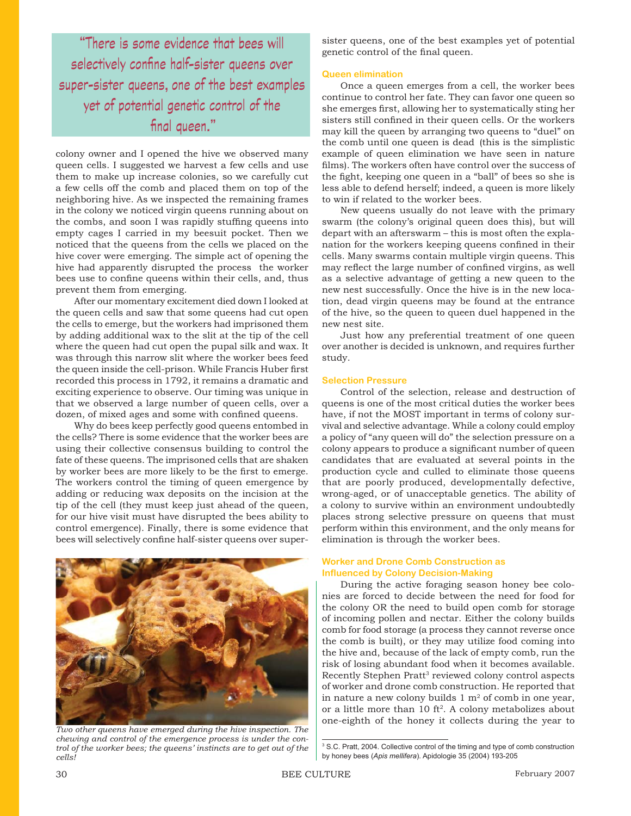"There is some evidence that bees will selectively confine half-sister queens over super-sister queens, one of the best examples yet of potential genetic control of the final queen."

colony owner and I opened the hive we observed many queen cells. I suggested we harvest a few cells and use them to make up increase colonies, so we carefully cut a few cells off the comb and placed them on top of the neighboring hive. As we inspected the remaining frames in the colony we noticed virgin queens running about on the combs, and soon I was rapidly stuffing queens into empty cages I carried in my beesuit pocket. Then we noticed that the queens from the cells we placed on the hive cover were emerging. The simple act of opening the hive had apparently disrupted the process the worker bees use to confine queens within their cells, and, thus prevent them from emerging.

After our momentary excitement died down I looked at the queen cells and saw that some queens had cut open the cells to emerge, but the workers had imprisoned them by adding additional wax to the slit at the tip of the cell where the queen had cut open the pupal silk and wax. It was through this narrow slit where the worker bees feed the queen inside the cell-prison. While Francis Huber first recorded this process in 1792, it remains a dramatic and exciting experience to observe. Our timing was unique in that we observed a large number of queen cells, over a dozen, of mixed ages and some with confined queens.

Why do bees keep perfectly good queens entombed in the cells? There is some evidence that the worker bees are using their collective consensus building to control the fate of these queens. The imprisoned cells that are shaken by worker bees are more likely to be the first to emerge. The workers control the timing of queen emergence by adding or reducing wax deposits on the incision at the tip of the cell (they must keep just ahead of the queen, for our hive visit must have disrupted the bees ability to control emergence). Finally, there is some evidence that bees will selectively confine half-sister queens over super-



*Two other queens have emerged during the hive inspection. The chewing and control of the emergence process is under the control of the worker bees; the queens' instincts are to get out of the cells!*

sister queens, one of the best examples yet of potential genetic control of the final queen.

# **Queen elimination**

Once a queen emerges from a cell, the worker bees continue to control her fate. They can favor one queen so she emerges first, allowing her to systematically sting her sisters still confined in their queen cells. Or the workers may kill the queen by arranging two queens to "duel" on the comb until one queen is dead (this is the simplistic example of queen elimination we have seen in nature films). The workers often have control over the success of the fight, keeping one queen in a "ball" of bees so she is less able to defend herself; indeed, a queen is more likely to win if related to the worker bees.

New queens usually do not leave with the primary swarm (the colony's original queen does this), but will depart with an afterswarm – this is most often the explanation for the workers keeping queens confined in their cells. Many swarms contain multiple virgin queens. This may reflect the large number of confined virgins, as well as a selective advantage of getting a new queen to the new nest successfully. Once the hive is in the new location, dead virgin queens may be found at the entrance of the hive, so the queen to queen duel happened in the new nest site.

Just how any preferential treatment of one queen over another is decided is unknown, and requires further study.

#### **Selection Pressure**

Control of the selection, release and destruction of queens is one of the most critical duties the worker bees have, if not the MOST important in terms of colony survival and selective advantage. While a colony could employ a policy of "any queen will do" the selection pressure on a colony appears to produce a significant number of queen candidates that are evaluated at several points in the production cycle and culled to eliminate those queens that are poorly produced, developmentally defective, wrong-aged, or of unacceptable genetics. The ability of a colony to survive within an environment undoubtedly places strong selective pressure on queens that must perform within this environment, and the only means for elimination is through the worker bees.

# **Worker and Drone Comb Construction as Influenced by Colony Decision-Making**

During the active foraging season honey bee colonies are forced to decide between the need for food for the colony OR the need to build open comb for storage of incoming pollen and nectar. Either the colony builds comb for food storage (a process they cannot reverse once the comb is built), or they may utilize food coming into the hive and, because of the lack of empty comb, run the risk of losing abundant food when it becomes available. Recently Stephen Pratt<sup>3</sup> reviewed colony control aspects of worker and drone comb construction. He reported that in nature a new colony builds  $1 \text{ m}^2$  of comb in one year, or a little more than 10 ft<sup>2</sup>. A colony metabolizes about one-eighth of the honey it collects during the year to

<sup>&</sup>lt;sup>3</sup> S.C. Pratt, 2004. Collective control of the timing and type of comb construction by honey bees (*Apis mellifera*). Apidologie 35 (2004) 193-205